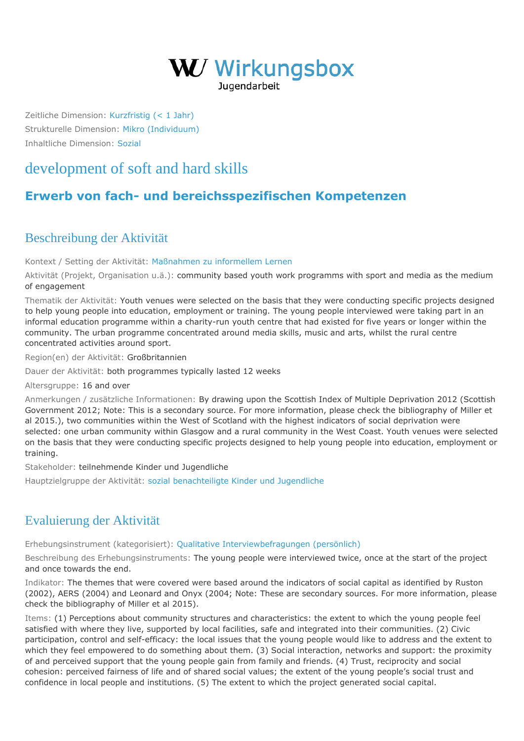

Zeitliche Dimension: [Kurzfristig \(< 1 Jahr\)](https://wirkungsbox.at/jart/prj3/wirkungsbox/main.jart?rel=de&content-id=1543322834577&p_zeitlichedimension_id=1551812792598) Strukturelle Dimension: [Mikro \(Individuum\)](https://wirkungsbox.at/jart/prj3/wirkungsbox/main.jart?rel=de&content-id=1543322834577&p_strukturelledimension_id=1551812792644) Inhaltliche Dimension: [Sozial](https://wirkungsbox.at/jart/prj3/wirkungsbox/main.jart?rel=de&content-id=1543322834577&p_inhaltlichedimension_id=1551812792546)

## [development of soft and hard skills](https://wirkungsbox.at/jart/prj3/wirkungsbox/main.jart?rel=de&content-id=1543322835804&wirkung_id=1543323661378)

## **[Erwerb von fach- und bereichsspezifischen Kompetenzen](https://wirkungsbox.at/jart/prj3/wirkungsbox/main.jart?rel=de&content-id=1543322834577&p_hauptwirkung_id=1543323664182)**

## Beschreibung der Aktivität

Kontext / Setting der Aktivität: [Maßnahmen zu informellem Lernen](https://wirkungsbox.at/jart/prj3/wirkungsbox/main.jart?rel=de&content-id=1543322834577&p_setting_id=1543323664314)

Aktivität (Projekt, Organisation u.ä.): community based youth work programms with sport and media as the medium of engagement

Thematik der Aktivität: Youth venues were selected on the basis that they were conducting specific projects designed to help young people into education, employment or training. The young people interviewed were taking part in an informal education programme within a charity-run youth centre that had existed for five years or longer within the community. The urban programme concentrated around media skills, music and arts, whilst the rural centre concentrated activities around sport.

Region(en) der Aktivität: Großbritannien

Dauer der Aktivität: both programmes typically lasted 12 weeks

Altersgruppe: 16 and over

Anmerkungen / zusätzliche Informationen: By drawing upon the Scottish Index of Multiple Deprivation 2012 (Scottish Government 2012; Note: This is a secondary source. For more information, please check the bibliography of Miller et al 2015.), two communities within the West of Scotland with the highest indicators of social deprivation were selected: one urban community within Glasgow and a rural community in the West Coast. Youth venues were selected on the basis that they were conducting specific projects designed to help young people into education, employment or training.

Stakeholder: teilnehmende Kinder und Jugendliche

Hauptzielgruppe der Aktivität: [sozial benachteiligte Kinder und Jugendliche](https://wirkungsbox.at/jart/prj3/wirkungsbox/main.jart?rel=de&content-id=1543322834577&p_zielgruppe_id=1543323664426)

## Evaluierung der Aktivität

Erhebungsinstrument (kategorisiert): [Qualitative Interviewbefragungen \(persönlich\)](https://wirkungsbox.at/jart/prj3/wirkungsbox/main.jart?rel=de&content-id=1543322834577&p_erhebungsinstrument_id=1551812792256)

Beschreibung des Erhebungsinstruments: The young people were interviewed twice, once at the start of the project and once towards the end.

Indikator: The themes that were covered were based around the indicators of social capital as identified by Ruston (2002), AERS (2004) and Leonard and Onyx (2004; Note: These are secondary sources. For more information, please check the bibliography of Miller et al 2015).

Items: (1) Perceptions about community structures and characteristics: the extent to which the young people feel satisfied with where they live, supported by local facilities, safe and integrated into their communities. (2) Civic participation, control and self-efficacy: the local issues that the young people would like to address and the extent to which they feel empowered to do something about them. (3) Social interaction, networks and support: the proximity of and perceived support that the young people gain from family and friends. (4) Trust, reciprocity and social cohesion: perceived fairness of life and of shared social values; the extent of the young people's social trust and confidence in local people and institutions. (5) The extent to which the project generated social capital.